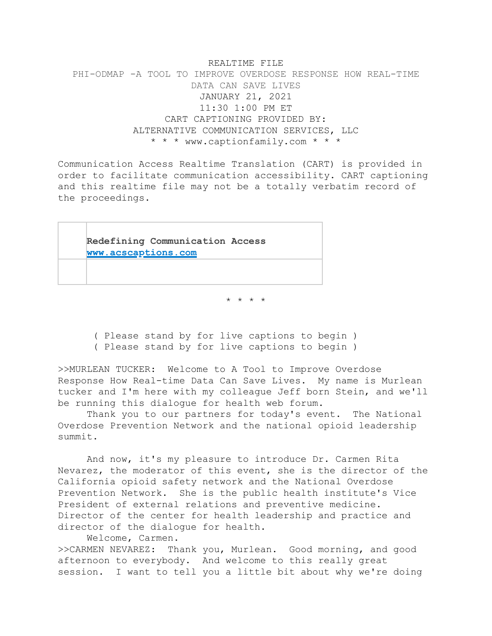REALTIME FILE PHI-ODMAP -A TOOL TO IMPROVE OVERDOSE RESPONSE HOW REAL-TIME DATA CAN SAVE LIVES JANUARY 21, 2021 11:30 1:00 PM ET CART CAPTIONING PROVIDED BY: ALTERNATIVE COMMUNICATION SERVICES, LLC \* \* \* [www.captionfamily.com](http://www.captionfamily.com) \* \* \*

Communication Access Realtime Translation (CART) is provided in order to facilitate communication accessibility. CART captioning and this realtime file may not be a totally verbatim record of the proceedings.



\* \* \* \*

 ( Please stand by for live captions to begin ) ( Please stand by for live captions to begin )

>>MURLEAN TUCKER: Welcome to A Tool to Improve Overdose Response How Real-time Data Can Save Lives. My name is Murlean tucker and I'm here with my colleague Jeff born Stein, and we'll be running this dialogue for health web forum.

Thank you to our partners for today's event. The National Overdose Prevention Network and the national opioid leadership summit.

And now, it's my pleasure to introduce Dr. Carmen Rita Nevarez, the moderator of this event, she is the director of the California opioid safety network and the National Overdose Prevention Network. She is the public health institute's Vice President of external relations and preventive medicine. Director of the center for health leadership and practice and director of the dialogue for health.

Welcome, Carmen. >>CARMEN NEVAREZ: Thank you, Murlean. Good morning, and good afternoon to everybody. And welcome to this really great session. I want to tell you a little bit about why we're doing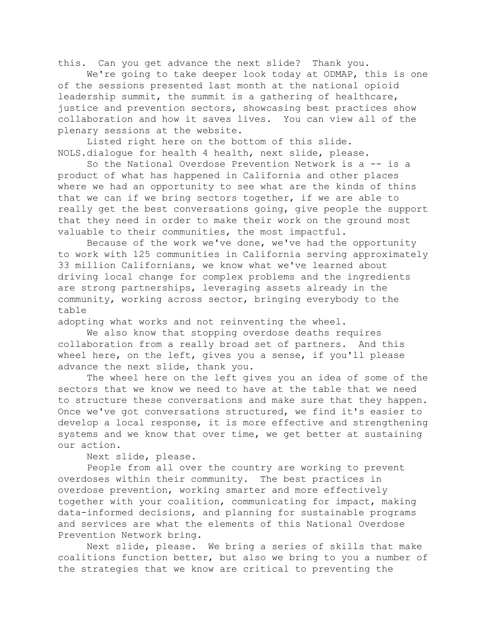this. Can you get advance the next slide? Thank you.

We're going to take deeper look today at ODMAP, this is one of the sessions presented last month at the national opioid leadership summit, the summit is a gathering of healthcare, justice and prevention sectors, showcasing best practices show collaboration and how it saves lives. You can view all of the plenary sessions at the website.

Listed right here on the bottom of this slide. NOLS.dialogue for health 4 health, next slide, please.

So the National Overdose Prevention Network is a -- is a product of what has happened in California and other places where we had an opportunity to see what are the kinds of thins that we can if we bring sectors together, if we are able to really get the best conversations going, give people the support that they need in order to make their work on the ground most valuable to their communities, the most impactful.

Because of the work we've done, we've had the opportunity to work with 125 communities in California serving approximately 33 million Californians, we know what we've learned about driving local change for complex problems and the ingredients are strong partnerships, leveraging assets already in the community, working across sector, bringing everybody to the table

adopting what works and not reinventing the wheel.

We also know that stopping overdose deaths requires collaboration from a really broad set of partners. And this wheel here, on the left, gives you a sense, if you'll please advance the next slide, thank you.

The wheel here on the left gives you an idea of some of the sectors that we know we need to have at the table that we need to structure these conversations and make sure that they happen. Once we've got conversations structured, we find it's easier to develop a local response, it is more effective and strengthening systems and we know that over time, we get better at sustaining our action.

Next slide, please.

People from all over the country are working to prevent overdoses within their community. The best practices in overdose prevention, working smarter and more effectively together with your coalition, communicating for impact, making data-informed decisions, and planning for sustainable programs and services are what the elements of this National Overdose Prevention Network bring.

Next slide, please. We bring a series of skills that make coalitions function better, but also we bring to you a number of the strategies that we know are critical to preventing the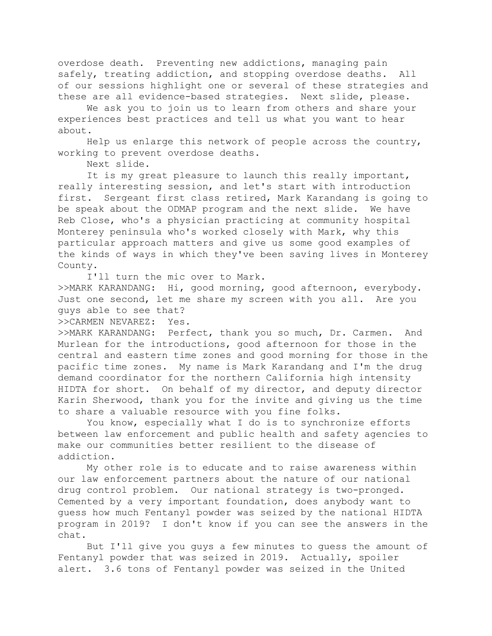overdose death. Preventing new addictions, managing pain safely, treating addiction, and stopping overdose deaths. All of our sessions highlight one or several of these strategies and these are all evidence-based strategies. Next slide, please.

We ask you to join us to learn from others and share your experiences best practices and tell us what you want to hear about.

Help us enlarge this network of people across the country, working to prevent overdose deaths.

Next slide.

It is my great pleasure to launch this really important, really interesting session, and let's start with introduction first. Sergeant first class retired, Mark Karandang is going to be speak about the ODMAP program and the next slide. We have Reb Close, who's a physician practicing at community hospital Monterey peninsula who's worked closely with Mark, why this particular approach matters and give us some good examples of the kinds of ways in which they've been saving lives in Monterey County.

I'll turn the mic over to Mark.

>>MARK KARANDANG: Hi, good morning, good afternoon, everybody. Just one second, let me share my screen with you all. Are you guys able to see that?

>>CARMEN NEVAREZ: Yes.

>>MARK KARANDANG: Perfect, thank you so much, Dr. Carmen. And Murlean for the introductions, good afternoon for those in the central and eastern time zones and good morning for those in the pacific time zones. My name is Mark Karandang and I'm the drug demand coordinator for the northern California high intensity HIDTA for short. On behalf of my director, and deputy director Karin Sherwood, thank you for the invite and giving us the time to share a valuable resource with you fine folks.

You know, especially what I do is to synchronize efforts between law enforcement and public health and safety agencies to make our communities better resilient to the disease of addiction.

My other role is to educate and to raise awareness within our law enforcement partners about the nature of our national drug control problem. Our national strategy is two-pronged. Cemented by a very important foundation, does anybody want to guess how much Fentanyl powder was seized by the national HIDTA program in 2019? I don't know if you can see the answers in the chat.

But I'll give you guys a few minutes to guess the amount of Fentanyl powder that was seized in 2019. Actually, spoiler alert. 3.6 tons of Fentanyl powder was seized in the United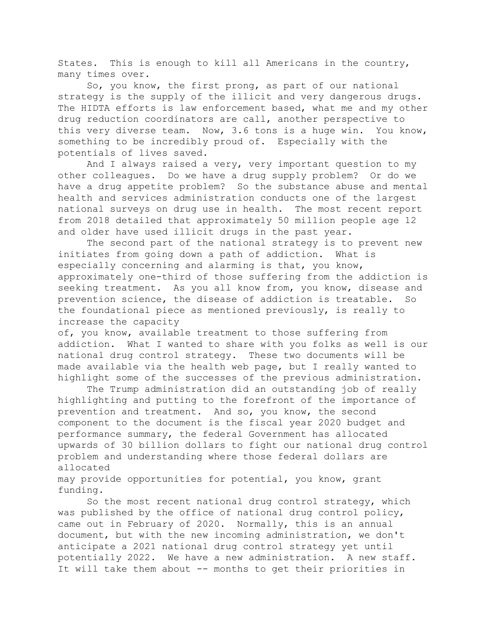States. This is enough to kill all Americans in the country, many times over.

So, you know, the first prong, as part of our national strategy is the supply of the illicit and very dangerous drugs. The HIDTA efforts is law enforcement based, what me and my other drug reduction coordinators are call, another perspective to this very diverse team. Now, 3.6 tons is a huge win. You know, something to be incredibly proud of. Especially with the potentials of lives saved.

And I always raised a very, very important question to my other colleagues. Do we have a drug supply problem? Or do we have a drug appetite problem? So the substance abuse and mental health and services administration conducts one of the largest national surveys on drug use in health. The most recent report from 2018 detailed that approximately 50 million people age 12 and older have used illicit drugs in the past year.

The second part of the national strategy is to prevent new initiates from going down a path of addiction. What is especially concerning and alarming is that, you know, approximately one-third of those suffering from the addiction is seeking treatment. As you all know from, you know, disease and prevention science, the disease of addiction is treatable. So the foundational piece as mentioned previously, is really to increase the capacity

of, you know, available treatment to those suffering from addiction. What I wanted to share with you folks as well is our national drug control strategy. These two documents will be made available via the health web page, but I really wanted to highlight some of the successes of the previous administration.

The Trump administration did an outstanding job of really highlighting and putting to the forefront of the importance of prevention and treatment. And so, you know, the second component to the document is the fiscal year 2020 budget and performance summary, the federal Government has allocated upwards of 30 billion dollars to fight our national drug control problem and understanding where those federal dollars are allocated

may provide opportunities for potential, you know, grant funding.

So the most recent national drug control strategy, which was published by the office of national drug control policy, came out in February of 2020. Normally, this is an annual document, but with the new incoming administration, we don't anticipate a 2021 national drug control strategy yet until potentially 2022. We have a new administration. A new staff. It will take them about -- months to get their priorities in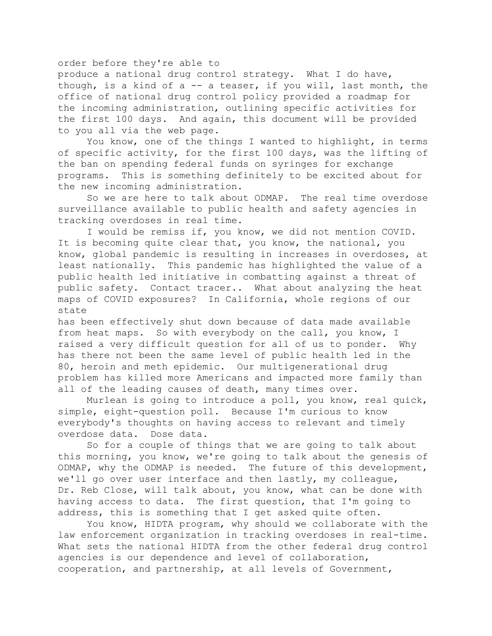## order before they're able to

produce a national drug control strategy. What I do have, though, is a kind of a -- a teaser, if you will, last month, the office of national drug control policy provided a roadmap for the incoming administration, outlining specific activities for the first 100 days. And again, this document will be provided to you all via the web page.

You know, one of the things I wanted to highlight, in terms of specific activity, for the first 100 days, was the lifting of the ban on spending federal funds on syringes for exchange programs. This is something definitely to be excited about for the new incoming administration.

So we are here to talk about ODMAP. The real time overdose surveillance available to public health and safety agencies in tracking overdoses in real time.

I would be remiss if, you know, we did not mention COVID. It is becoming quite clear that, you know, the national, you know, global pandemic is resulting in increases in overdoses, at least nationally. This pandemic has highlighted the value of a public health led initiative in combatting against a threat of public safety. Contact tracer.. What about analyzing the heat maps of COVID exposures? In California, whole regions of our state

has been effectively shut down because of data made available from heat maps. So with everybody on the call, you know, I raised a very difficult question for all of us to ponder. Why has there not been the same level of public health led in the 80, heroin and meth epidemic. Our multigenerational drug problem has killed more Americans and impacted more family than all of the leading causes of death, many times over.

Murlean is going to introduce a poll, you know, real quick, simple, eight-question poll. Because I'm curious to know everybody's thoughts on having access to relevant and timely overdose data. Dose data.

So for a couple of things that we are going to talk about this morning, you know, we're going to talk about the genesis of ODMAP, why the ODMAP is needed. The future of this development, we'll go over user interface and then lastly, my colleague, Dr. Reb Close, will talk about, you know, what can be done with having access to data. The first question, that I'm going to address, this is something that I get asked quite often.

You know, HIDTA program, why should we collaborate with the law enforcement organization in tracking overdoses in real-time. What sets the national HIDTA from the other federal drug control agencies is our dependence and level of collaboration, cooperation, and partnership, at all levels of Government,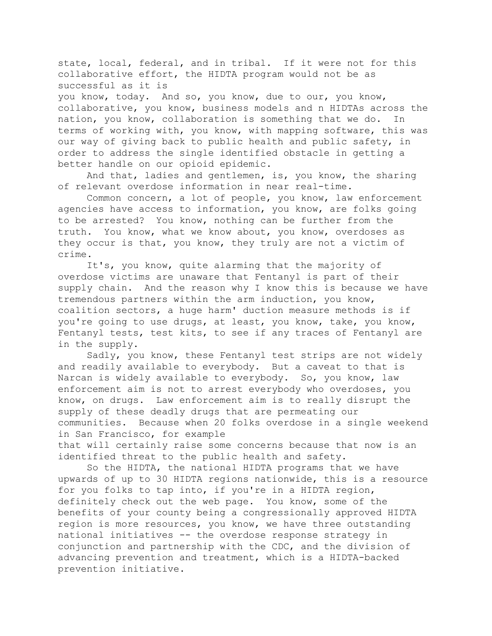state, local, federal, and in tribal. If it were not for this collaborative effort, the HIDTA program would not be as successful as it is

you know, today. And so, you know, due to our, you know, collaborative, you know, business models and n HIDTAs across the nation, you know, collaboration is something that we do. In terms of working with, you know, with mapping software, this was our way of giving back to public health and public safety, in order to address the single identified obstacle in getting a better handle on our opioid epidemic.

And that, ladies and gentlemen, is, you know, the sharing of relevant overdose information in near real-time.

Common concern, a lot of people, you know, law enforcement agencies have access to information, you know, are folks going to be arrested? You know, nothing can be further from the truth. You know, what we know about, you know, overdoses as they occur is that, you know, they truly are not a victim of crime.

It's, you know, quite alarming that the majority of overdose victims are unaware that Fentanyl is part of their supply chain. And the reason why I know this is because we have tremendous partners within the arm induction, you know, coalition sectors, a huge harm' duction measure methods is if you're going to use drugs, at least, you know, take, you know, Fentanyl tests, test kits, to see if any traces of Fentanyl are in the supply.

Sadly, you know, these Fentanyl test strips are not widely and readily available to everybody. But a caveat to that is Narcan is widely available to everybody. So, you know, law enforcement aim is not to arrest everybody who overdoses, you know, on drugs. Law enforcement aim is to really disrupt the supply of these deadly drugs that are permeating our communities. Because when 20 folks overdose in a single weekend in San Francisco, for example that will certainly raise some concerns because that now is an

identified threat to the public health and safety. So the HIDTA, the national HIDTA programs that we have

upwards of up to 30 HIDTA regions nationwide, this is a resource for you folks to tap into, if you're in a HIDTA region, definitely check out the web page. You know, some of the benefits of your county being a congressionally approved HIDTA region is more resources, you know, we have three outstanding national initiatives -- the overdose response strategy in conjunction and partnership with the CDC, and the division of advancing prevention and treatment, which is a HIDTA-backed prevention initiative.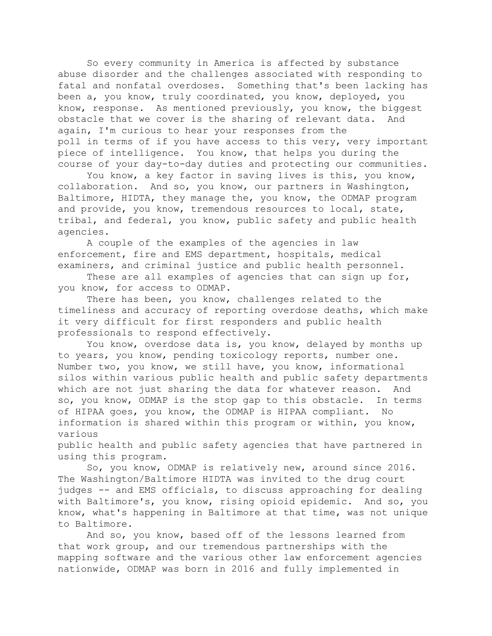So every community in America is affected by substance abuse disorder and the challenges associated with responding to fatal and nonfatal overdoses. Something that's been lacking has been a, you know, truly coordinated, you know, deployed, you know, response. As mentioned previously, you know, the biggest obstacle that we cover is the sharing of relevant data. And again, I'm curious to hear your responses from the poll in terms of if you have access to this very, very important piece of intelligence. You know, that helps you during the course of your day-to-day duties and protecting our communities.

You know, a key factor in saving lives is this, you know, collaboration. And so, you know, our partners in Washington, Baltimore, HIDTA, they manage the, you know, the ODMAP program and provide, you know, tremendous resources to local, state, tribal, and federal, you know, public safety and public health agencies.

A couple of the examples of the agencies in law enforcement, fire and EMS department, hospitals, medical examiners, and criminal justice and public health personnel.

These are all examples of agencies that can sign up for, you know, for access to ODMAP.

There has been, you know, challenges related to the timeliness and accuracy of reporting overdose deaths, which make it very difficult for first responders and public health professionals to respond effectively.

You know, overdose data is, you know, delayed by months up to years, you know, pending toxicology reports, number one. Number two, you know, we still have, you know, informational silos within various public health and public safety departments which are not just sharing the data for whatever reason. And so, you know, ODMAP is the stop gap to this obstacle. In terms of HIPAA goes, you know, the ODMAP is HIPAA compliant. No information is shared within this program or within, you know, various

public health and public safety agencies that have partnered in using this program.

So, you know, ODMAP is relatively new, around since 2016. The Washington/Baltimore HIDTA was invited to the drug court judges -- and EMS officials, to discuss approaching for dealing with Baltimore's, you know, rising opioid epidemic. And so, you know, what's happening in Baltimore at that time, was not unique to Baltimore.

And so, you know, based off of the lessons learned from that work group, and our tremendous partnerships with the mapping software and the various other law enforcement agencies nationwide, ODMAP was born in 2016 and fully implemented in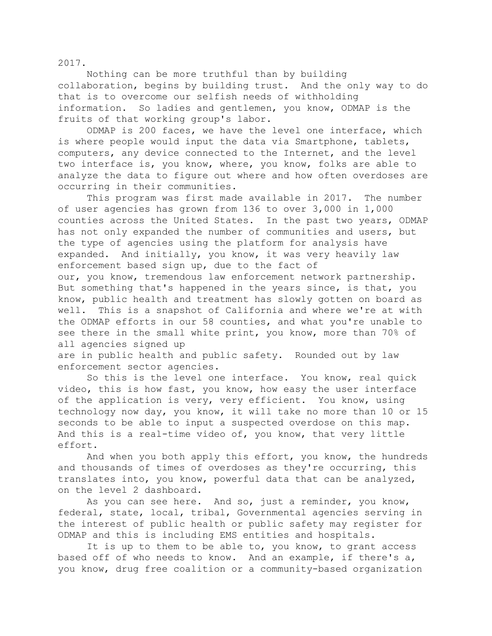2017.

Nothing can be more truthful than by building collaboration, begins by building trust. And the only way to do that is to overcome our selfish needs of withholding information. So ladies and gentlemen, you know, ODMAP is the fruits of that working group's labor.

ODMAP is 200 faces, we have the level one interface, which is where people would input the data via Smartphone, tablets, computers, any device connected to the Internet, and the level two interface is, you know, where, you know, folks are able to analyze the data to figure out where and how often overdoses are occurring in their communities.

This program was first made available in 2017. The number of user agencies has grown from 136 to over 3,000 in 1,000 counties across the United States. In the past two years, ODMAP has not only expanded the number of communities and users, but the type of agencies using the platform for analysis have expanded. And initially, you know, it was very heavily law enforcement based sign up, due to the fact of our, you know, tremendous law enforcement network partnership. But something that's happened in the years since, is that, you know, public health and treatment has slowly gotten on board as well. This is a snapshot of California and where we're at with the ODMAP efforts in our 58 counties, and what you're unable to see there in the small white print, you know, more than 70% of all agencies signed up

are in public health and public safety. Rounded out by law enforcement sector agencies.

So this is the level one interface. You know, real quick video, this is how fast, you know, how easy the user interface of the application is very, very efficient. You know, using technology now day, you know, it will take no more than 10 or 15 seconds to be able to input a suspected overdose on this map. And this is a real-time video of, you know, that very little effort.

And when you both apply this effort, you know, the hundreds and thousands of times of overdoses as they're occurring, this translates into, you know, powerful data that can be analyzed, on the level 2 dashboard.

As you can see here. And so, just a reminder, you know, federal, state, local, tribal, Governmental agencies serving in the interest of public health or public safety may register for ODMAP and this is including EMS entities and hospitals.

It is up to them to be able to, you know, to grant access based off of who needs to know. And an example, if there's a, you know, drug free coalition or a community-based organization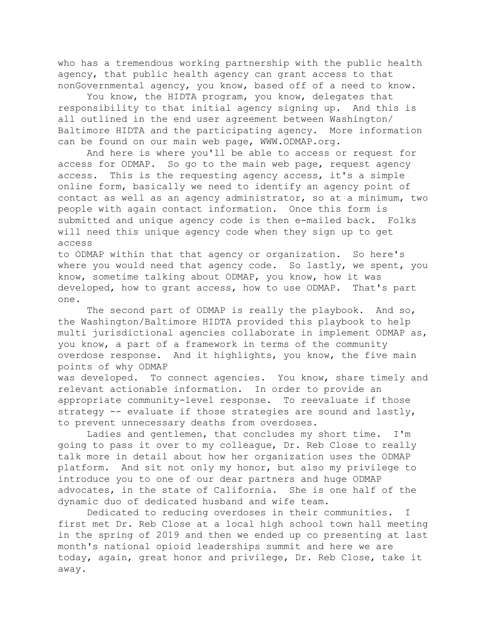who has a tremendous working partnership with the public health agency, that public health agency can grant access to that nonGovernmental agency, you know, based off of a need to know.

You know, the HIDTA program, you know, delegates that responsibility to that initial agency signing up. And this is all outlined in the end user agreement between Washington/ Baltimore HIDTA and the participating agency. More information can be found on our main web page, WWW.ODMAP.org.

And here is where you'll be able to access or request for access for ODMAP. So go to the main web page, request agency access. This is the requesting agency access, it's a simple online form, basically we need to identify an agency point of contact as well as an agency administrator, so at a minimum, two people with again contact information. Once this form is submitted and unique agency code is then e-mailed back. Folks will need this unique agency code when they sign up to get access

to ODMAP within that that agency or organization. So here's where you would need that agency code. So lastly, we spent, you know, sometime talking about ODMAP, you know, how it was developed, how to grant access, how to use ODMAP. That's part one.

The second part of ODMAP is really the playbook. And so, the Washington/Baltimore HIDTA provided this playbook to help multi jurisdictional agencies collaborate in implement ODMAP as, you know, a part of a framework in terms of the community overdose response. And it highlights, you know, the five main points of why ODMAP

was developed. To connect agencies. You know, share timely and relevant actionable information. In order to provide an appropriate community-level response. To reevaluate if those strategy -- evaluate if those strategies are sound and lastly, to prevent unnecessary deaths from overdoses.

Ladies and gentlemen, that concludes my short time. I'm going to pass it over to my colleague, Dr. Reb Close to really talk more in detail about how her organization uses the ODMAP platform. And sit not only my honor, but also my privilege to introduce you to one of our dear partners and huge ODMAP advocates, in the state of California. She is one half of the dynamic duo of dedicated husband and wife team.

Dedicated to reducing overdoses in their communities. I first met Dr. Reb Close at a local high school town hall meeting in the spring of 2019 and then we ended up co presenting at last month's national opioid leaderships summit and here we are today, again, great honor and privilege, Dr. Reb Close, take it away.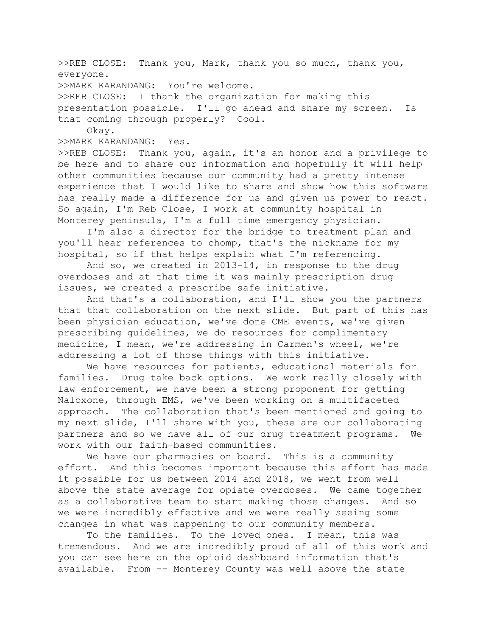>>REB CLOSE: Thank you, Mark, thank you so much, thank you, everyone. >>MARK KARANDANG: You're welcome. >>REB CLOSE: I thank the organization for making this presentation possible. I'll go ahead and share my screen. Is that coming through properly? Cool. Okay. >>MARK KARANDANG: Yes. >>REB CLOSE: Thank you, again, it's an honor and a privilege to be here and to share our information and hopefully it will help other communities because our community had a pretty intense experience that I would like to share and show how this software

has really made a difference for us and given us power to react. So again, I'm Reb Close, I work at community hospital in Monterey peninsula, I'm a full time emergency physician.

I'm also a director for the bridge to treatment plan and you'll hear references to chomp, that's the nickname for my hospital, so if that helps explain what I'm referencing.

And so, we created in 2013-14, in response to the drug overdoses and at that time it was mainly prescription drug issues, we created a prescribe safe initiative.

And that's a collaboration, and I'll show you the partners that that collaboration on the next slide. But part of this has been physician education, we've done CME events, we've given prescribing guidelines, we do resources for complimentary medicine, I mean, we're addressing in Carmen's wheel, we're addressing a lot of those things with this initiative.

We have resources for patients, educational materials for families. Drug take back options. We work really closely with law enforcement, we have been a strong proponent for getting Naloxone, through EMS, we've been working on a multifaceted approach. The collaboration that's been mentioned and going to my next slide, I'll share with you, these are our collaborating partners and so we have all of our drug treatment programs. We work with our faith-based communities.

We have our pharmacies on board. This is a community effort. And this becomes important because this effort has made it possible for us between 2014 and 2018, we went from well above the state average for opiate overdoses. We came together as a collaborative team to start making those changes. And so we were incredibly effective and we were really seeing some changes in what was happening to our community members.

To the families. To the loved ones. I mean, this was tremendous. And we are incredibly proud of all of this work and you can see here on the opioid dashboard information that's available. From -- Monterey County was well above the state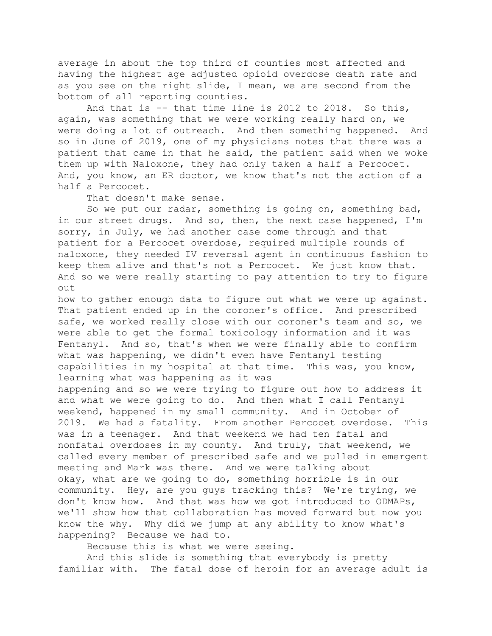average in about the top third of counties most affected and having the highest age adjusted opioid overdose death rate and as you see on the right slide, I mean, we are second from the bottom of all reporting counties.

And that is -- that time line is 2012 to 2018. So this, again, was something that we were working really hard on, we were doing a lot of outreach. And then something happened. And so in June of 2019, one of my physicians notes that there was a patient that came in that he said, the patient said when we woke them up with Naloxone, they had only taken a half a Percocet. And, you know, an ER doctor, we know that's not the action of a half a Percocet.

That doesn't make sense.

So we put our radar, something is going on, something bad, in our street drugs. And so, then, the next case happened, I'm sorry, in July, we had another case come through and that patient for a Percocet overdose, required multiple rounds of naloxone, they needed IV reversal agent in continuous fashion to keep them alive and that's not a Percocet. We just know that. And so we were really starting to pay attention to try to figure out

how to gather enough data to figure out what we were up against. That patient ended up in the coroner's office. And prescribed safe, we worked really close with our coroner's team and so, we were able to get the formal toxicology information and it was Fentanyl. And so, that's when we were finally able to confirm what was happening, we didn't even have Fentanyl testing capabilities in my hospital at that time. This was, you know, learning what was happening as it was

happening and so we were trying to figure out how to address it and what we were going to do. And then what I call Fentanyl weekend, happened in my small community. And in October of 2019. We had a fatality. From another Percocet overdose. This was in a teenager. And that weekend we had ten fatal and nonfatal overdoses in my county. And truly, that weekend, we called every member of prescribed safe and we pulled in emergent meeting and Mark was there. And we were talking about okay, what are we going to do, something horrible is in our community. Hey, are you guys tracking this? We're trying, we don't know how. And that was how we got introduced to ODMAPs, we'll show how that collaboration has moved forward but now you know the why. Why did we jump at any ability to know what's happening? Because we had to.

Because this is what we were seeing.

And this slide is something that everybody is pretty familiar with. The fatal dose of heroin for an average adult is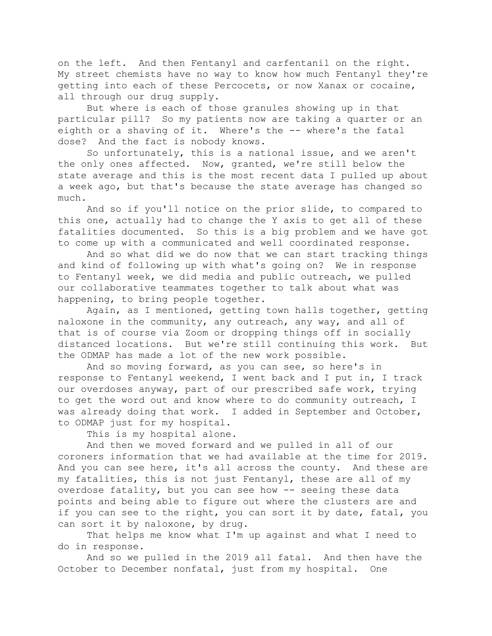on the left. And then Fentanyl and carfentanil on the right. My street chemists have no way to know how much Fentanyl they're getting into each of these Percocets, or now Xanax or cocaine, all through our drug supply.

But where is each of those granules showing up in that particular pill? So my patients now are taking a quarter or an eighth or a shaving of it. Where's the -- where's the fatal dose? And the fact is nobody knows.

So unfortunately, this is a national issue, and we aren't the only ones affected. Now, granted, we're still below the state average and this is the most recent data I pulled up about a week ago, but that's because the state average has changed so much.

And so if you'll notice on the prior slide, to compared to this one, actually had to change the Y axis to get all of these fatalities documented. So this is a big problem and we have got to come up with a communicated and well coordinated response.

And so what did we do now that we can start tracking things and kind of following up with what's going on? We in response to Fentanyl week, we did media and public outreach, we pulled our collaborative teammates together to talk about what was happening, to bring people together.

Again, as I mentioned, getting town halls together, getting naloxone in the community, any outreach, any way, and all of that is of course via Zoom or dropping things off in socially distanced locations. But we're still continuing this work. But the ODMAP has made a lot of the new work possible.

And so moving forward, as you can see, so here's in response to Fentanyl weekend, I went back and I put in, I track our overdoses anyway, part of our prescribed safe work, trying to get the word out and know where to do community outreach, I was already doing that work. I added in September and October, to ODMAP just for my hospital.

This is my hospital alone.

And then we moved forward and we pulled in all of our coroners information that we had available at the time for 2019. And you can see here, it's all across the county. And these are my fatalities, this is not just Fentanyl, these are all of my overdose fatality, but you can see how -- seeing these data points and being able to figure out where the clusters are and if you can see to the right, you can sort it by date, fatal, you can sort it by naloxone, by drug.

That helps me know what I'm up against and what I need to do in response.

And so we pulled in the 2019 all fatal. And then have the October to December nonfatal, just from my hospital. One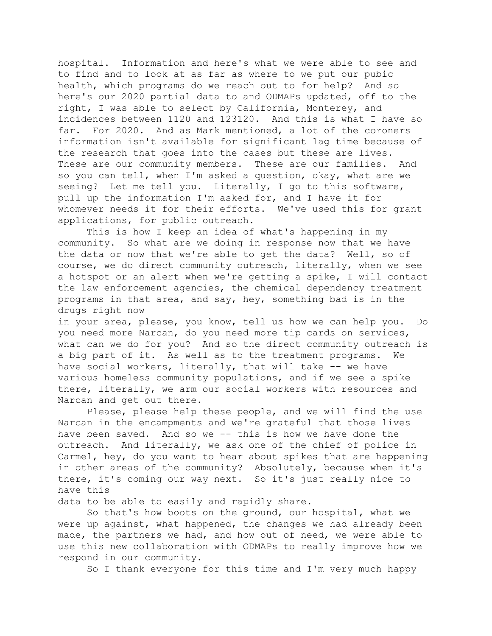hospital. Information and here's what we were able to see and to find and to look at as far as where to we put our pubic health, which programs do we reach out to for help? And so here's our 2020 partial data to and ODMAPs updated, off to the right, I was able to select by California, Monterey, and incidences between 1120 and 123120. And this is what I have so far. For 2020. And as Mark mentioned, a lot of the coroners information isn't available for significant lag time because of the research that goes into the cases but these are lives. These are our community members. These are our families. And so you can tell, when I'm asked a question, okay, what are we seeing? Let me tell you. Literally, I go to this software, pull up the information I'm asked for, and I have it for whomever needs it for their efforts. We've used this for grant applications, for public outreach.

This is how I keep an idea of what's happening in my community. So what are we doing in response now that we have the data or now that we're able to get the data? Well, so of course, we do direct community outreach, literally, when we see a hotspot or an alert when we're getting a spike, I will contact the law enforcement agencies, the chemical dependency treatment programs in that area, and say, hey, something bad is in the drugs right now

in your area, please, you know, tell us how we can help you. Do you need more Narcan, do you need more tip cards on services, what can we do for you? And so the direct community outreach is a big part of it. As well as to the treatment programs. We have social workers, literally, that will take -- we have various homeless community populations, and if we see a spike there, literally, we arm our social workers with resources and Narcan and get out there.

Please, please help these people, and we will find the use Narcan in the encampments and we're grateful that those lives have been saved. And so we -- this is how we have done the outreach. And literally, we ask one of the chief of police in Carmel, hey, do you want to hear about spikes that are happening in other areas of the community? Absolutely, because when it's there, it's coming our way next. So it's just really nice to have this

data to be able to easily and rapidly share.

So that's how boots on the ground, our hospital, what we were up against, what happened, the changes we had already been made, the partners we had, and how out of need, we were able to use this new collaboration with ODMAPs to really improve how we respond in our community.

So I thank everyone for this time and I'm very much happy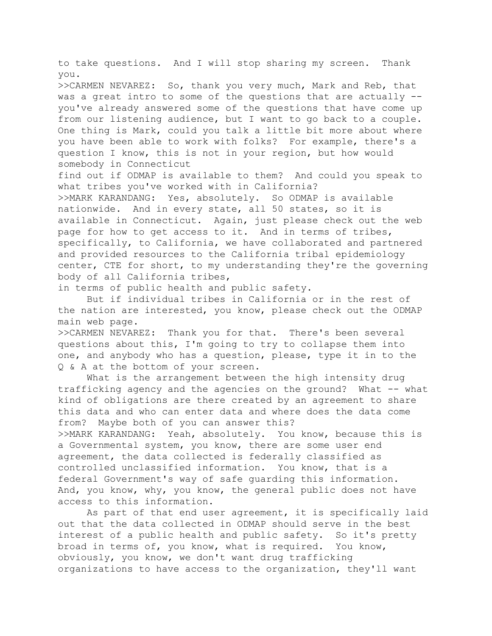to take questions. And I will stop sharing my screen. Thank you.

>>CARMEN NEVAREZ: So, thank you very much, Mark and Reb, that was a great intro to some of the questions that are actually - you've already answered some of the questions that have come up from our listening audience, but I want to go back to a couple. One thing is Mark, could you talk a little bit more about where you have been able to work with folks? For example, there's a question I know, this is not in your region, but how would somebody in Connecticut

find out if ODMAP is available to them? And could you speak to what tribes you've worked with in California?

>>MARK KARANDANG: Yes, absolutely. So ODMAP is available nationwide. And in every state, all 50 states, so it is available in Connecticut. Again, just please check out the web page for how to get access to it. And in terms of tribes, specifically, to California, we have collaborated and partnered and provided resources to the California tribal epidemiology center, CTE for short, to my understanding they're the governing body of all California tribes,

in terms of public health and public safety.

But if individual tribes in California or in the rest of the nation are interested, you know, please check out the ODMAP main web page.

>>CARMEN NEVAREZ: Thank you for that. There's been several questions about this, I'm going to try to collapse them into one, and anybody who has a question, please, type it in to the Q & A at the bottom of your screen.

What is the arrangement between the high intensity drug trafficking agency and the agencies on the ground? What -- what kind of obligations are there created by an agreement to share this data and who can enter data and where does the data come from? Maybe both of you can answer this?

>>MARK KARANDANG: Yeah, absolutely. You know, because this is a Governmental system, you know, there are some user end agreement, the data collected is federally classified as controlled unclassified information. You know, that is a federal Government's way of safe guarding this information. And, you know, why, you know, the general public does not have access to this information.

As part of that end user agreement, it is specifically laid out that the data collected in ODMAP should serve in the best interest of a public health and public safety. So it's pretty broad in terms of, you know, what is required. You know, obviously, you know, we don't want drug trafficking organizations to have access to the organization, they'll want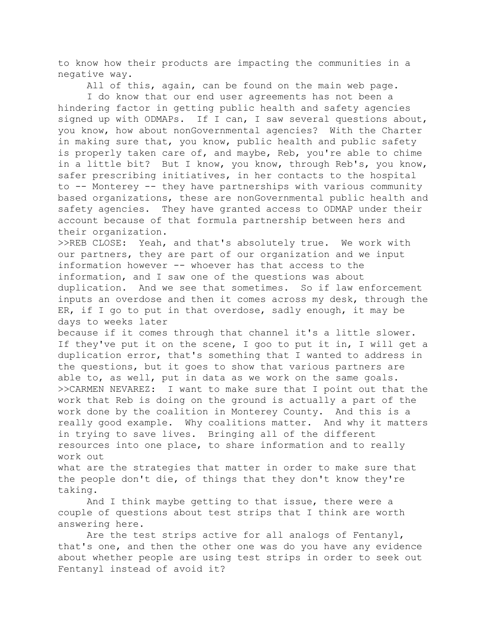to know how their products are impacting the communities in a negative way.

All of this, again, can be found on the main web page.

I do know that our end user agreements has not been a hindering factor in getting public health and safety agencies signed up with ODMAPs. If I can, I saw several questions about, you know, how about nonGovernmental agencies? With the Charter in making sure that, you know, public health and public safety is properly taken care of, and maybe, Reb, you're able to chime in a little bit? But I know, you know, through Reb's, you know, safer prescribing initiatives, in her contacts to the hospital to -- Monterey -- they have partnerships with various community based organizations, these are nonGovernmental public health and safety agencies. They have granted access to ODMAP under their account because of that formula partnership between hers and their organization.

>>REB CLOSE: Yeah, and that's absolutely true. We work with our partners, they are part of our organization and we input information however -- whoever has that access to the information, and I saw one of the questions was about duplication. And we see that sometimes. So if law enforcement inputs an overdose and then it comes across my desk, through the ER, if I go to put in that overdose, sadly enough, it may be days to weeks later

because if it comes through that channel it's a little slower. If they've put it on the scene, I goo to put it in, I will get a duplication error, that's something that I wanted to address in the questions, but it goes to show that various partners are able to, as well, put in data as we work on the same goals. >>CARMEN NEVAREZ: I want to make sure that I point out that the work that Reb is doing on the ground is actually a part of the work done by the coalition in Monterey County. And this is a really good example. Why coalitions matter. And why it matters in trying to save lives. Bringing all of the different resources into one place, to share information and to really work out

what are the strategies that matter in order to make sure that the people don't die, of things that they don't know they're taking.

And I think maybe getting to that issue, there were a couple of questions about test strips that I think are worth answering here.

Are the test strips active for all analogs of Fentanyl, that's one, and then the other one was do you have any evidence about whether people are using test strips in order to seek out Fentanyl instead of avoid it?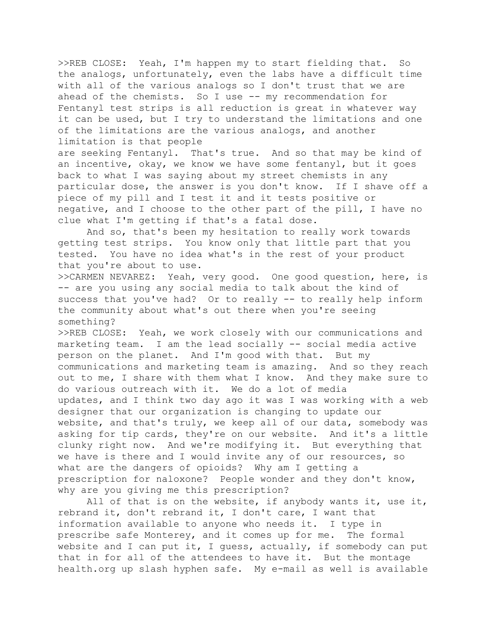>>REB CLOSE: Yeah, I'm happen my to start fielding that. So the analogs, unfortunately, even the labs have a difficult time with all of the various analogs so I don't trust that we are ahead of the chemists. So I use -- my recommendation for Fentanyl test strips is all reduction is great in whatever way it can be used, but I try to understand the limitations and one of the limitations are the various analogs, and another limitation is that people

are seeking Fentanyl. That's true. And so that may be kind of an incentive, okay, we know we have some fentanyl, but it goes back to what I was saying about my street chemists in any particular dose, the answer is you don't know. If I shave off a piece of my pill and I test it and it tests positive or negative, and I choose to the other part of the pill, I have no clue what I'm getting if that's a fatal dose.

And so, that's been my hesitation to really work towards getting test strips. You know only that little part that you tested. You have no idea what's in the rest of your product that you're about to use.

>>CARMEN NEVAREZ: Yeah, very good. One good question, here, is -- are you using any social media to talk about the kind of success that you've had? Or to really -- to really help inform the community about what's out there when you're seeing something?

>>REB CLOSE: Yeah, we work closely with our communications and marketing team. I am the lead socially -- social media active person on the planet. And I'm good with that. But my communications and marketing team is amazing. And so they reach out to me, I share with them what I know. And they make sure to do various outreach with it. We do a lot of media updates, and I think two day ago it was I was working with a web designer that our organization is changing to update our website, and that's truly, we keep all of our data, somebody was asking for tip cards, they're on our website. And it's a little clunky right now. And we're modifying it. But everything that we have is there and I would invite any of our resources, so what are the dangers of opioids? Why am I getting a prescription for naloxone? People wonder and they don't know, why are you giving me this prescription?

All of that is on the website, if anybody wants it, use it, rebrand it, don't rebrand it, I don't care, I want that information available to anyone who needs it. I type in prescribe safe Monterey, and it comes up for me. The formal website and I can put it, I guess, actually, if somebody can put that in for all of the attendees to have it. But the montage health.org up slash hyphen safe. My e-mail as well is available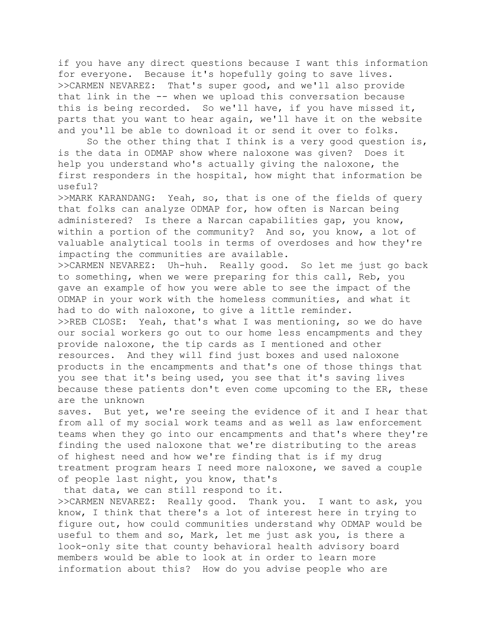if you have any direct questions because I want this information for everyone. Because it's hopefully going to save lives. >>CARMEN NEVAREZ: That's super good, and we'll also provide that link in the -- when we upload this conversation because this is being recorded. So we'll have, if you have missed it, parts that you want to hear again, we'll have it on the website and you'll be able to download it or send it over to folks.

So the other thing that I think is a very good question is, is the data in ODMAP show where naloxone was given? Does it help you understand who's actually giving the naloxone, the first responders in the hospital, how might that information be useful?

>>MARK KARANDANG: Yeah, so, that is one of the fields of query that folks can analyze ODMAP for, how often is Narcan being administered? Is there a Narcan capabilities gap, you know, within a portion of the community? And so, you know, a lot of valuable analytical tools in terms of overdoses and how they're impacting the communities are available.

>>CARMEN NEVAREZ: Uh-huh. Really good. So let me just go back to something, when we were preparing for this call, Reb, you gave an example of how you were able to see the impact of the ODMAP in your work with the homeless communities, and what it had to do with naloxone, to give a little reminder.

>>REB CLOSE: Yeah, that's what I was mentioning, so we do have our social workers go out to our home less encampments and they provide naloxone, the tip cards as I mentioned and other resources. And they will find just boxes and used naloxone products in the encampments and that's one of those things that you see that it's being used, you see that it's saving lives because these patients don't even come upcoming to the ER, these are the unknown

saves. But yet, we're seeing the evidence of it and I hear that from all of my social work teams and as well as law enforcement teams when they go into our encampments and that's where they're finding the used naloxone that we're distributing to the areas of highest need and how we're finding that is if my drug treatment program hears I need more naloxone, we saved a couple of people last night, you know, that's

that data, we can still respond to it.

>>CARMEN NEVAREZ: Really good. Thank you. I want to ask, you know, I think that there's a lot of interest here in trying to figure out, how could communities understand why ODMAP would be useful to them and so, Mark, let me just ask you, is there a look-only site that county behavioral health advisory board members would be able to look at in order to learn more information about this? How do you advise people who are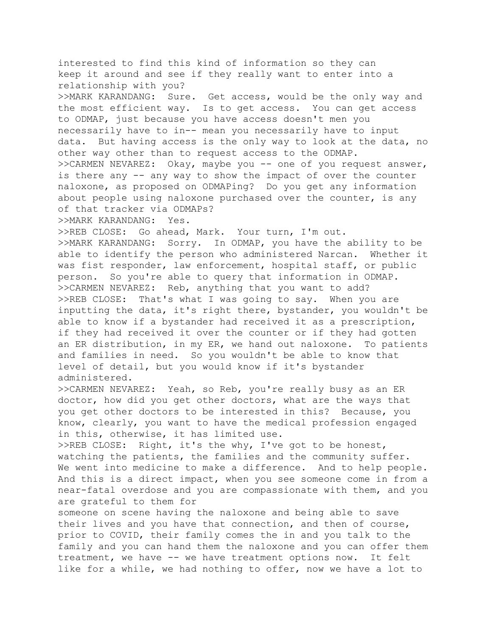interested to find this kind of information so they can keep it around and see if they really want to enter into a relationship with you? >>MARK KARANDANG: Sure. Get access, would be the only way and the most efficient way. Is to get access. You can get access to ODMAP, just because you have access doesn't men you necessarily have to in-- mean you necessarily have to input data. But having access is the only way to look at the data, no other way other than to request access to the ODMAP. >>CARMEN NEVAREZ: Okay, maybe you -- one of you request answer, is there any -- any way to show the impact of over the counter naloxone, as proposed on ODMAPing? Do you get any information about people using naloxone purchased over the counter, is any of that tracker via ODMAPs? >>MARK KARANDANG: Yes. >>REB CLOSE: Go ahead, Mark. Your turn, I'm out.

>>MARK KARANDANG: Sorry. In ODMAP, you have the ability to be able to identify the person who administered Narcan. Whether it was fist responder, law enforcement, hospital staff, or public person. So you're able to query that information in ODMAP. >>CARMEN NEVAREZ: Reb, anything that you want to add? >>REB CLOSE: That's what I was going to say. When you are inputting the data, it's right there, bystander, you wouldn't be able to know if a bystander had received it as a prescription, if they had received it over the counter or if they had gotten an ER distribution, in my ER, we hand out naloxone. To patients and families in need. So you wouldn't be able to know that level of detail, but you would know if it's bystander administered.

>>CARMEN NEVAREZ: Yeah, so Reb, you're really busy as an ER doctor, how did you get other doctors, what are the ways that you get other doctors to be interested in this? Because, you know, clearly, you want to have the medical profession engaged in this, otherwise, it has limited use.

>>REB CLOSE: Right, it's the why, I've got to be honest, watching the patients, the families and the community suffer. We went into medicine to make a difference. And to help people. And this is a direct impact, when you see someone come in from a near-fatal overdose and you are compassionate with them, and you are grateful to them for

someone on scene having the naloxone and being able to save their lives and you have that connection, and then of course, prior to COVID, their family comes the in and you talk to the family and you can hand them the naloxone and you can offer them treatment, we have -- we have treatment options now. It felt like for a while, we had nothing to offer, now we have a lot to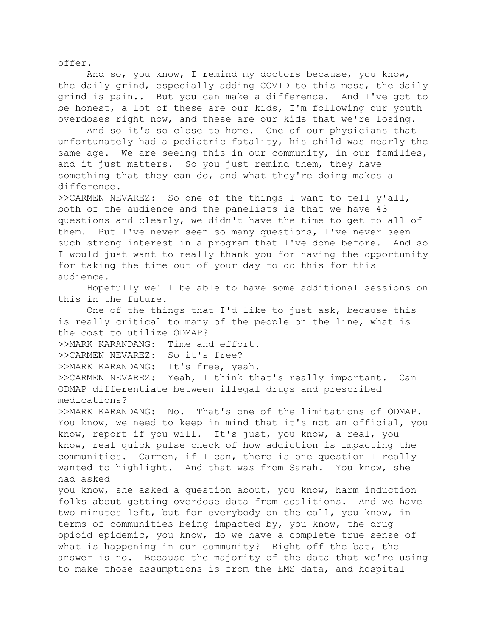offer.

And so, you know, I remind my doctors because, you know, the daily grind, especially adding COVID to this mess, the daily grind is pain.. But you can make a difference. And I've got to be honest, a lot of these are our kids, I'm following our youth overdoses right now, and these are our kids that we're losing.

And so it's so close to home. One of our physicians that unfortunately had a pediatric fatality, his child was nearly the same age. We are seeing this in our community, in our families, and it just matters. So you just remind them, they have something that they can do, and what they're doing makes a difference.

>>CARMEN NEVAREZ: So one of the things I want to tell y'all, both of the audience and the panelists is that we have 43 questions and clearly, we didn't have the time to get to all of them. But I've never seen so many questions, I've never seen such strong interest in a program that I've done before. And so I would just want to really thank you for having the opportunity for taking the time out of your day to do this for this audience.

Hopefully we'll be able to have some additional sessions on this in the future.

One of the things that I'd like to just ask, because this is really critical to many of the people on the line, what is the cost to utilize ODMAP?

>>MARK KARANDANG: Time and effort.

>>CARMEN NEVAREZ: So it's free?

>>MARK KARANDANG: It's free, yeah.

>>CARMEN NEVAREZ: Yeah, I think that's really important. Can ODMAP differentiate between illegal drugs and prescribed medications?

>>MARK KARANDANG: No. That's one of the limitations of ODMAP. You know, we need to keep in mind that it's not an official, you know, report if you will. It's just, you know, a real, you know, real quick pulse check of how addiction is impacting the communities. Carmen, if I can, there is one question I really wanted to highlight. And that was from Sarah. You know, she had asked

you know, she asked a question about, you know, harm induction folks about getting overdose data from coalitions. And we have two minutes left, but for everybody on the call, you know, in terms of communities being impacted by, you know, the drug opioid epidemic, you know, do we have a complete true sense of what is happening in our community? Right off the bat, the answer is no. Because the majority of the data that we're using to make those assumptions is from the EMS data, and hospital